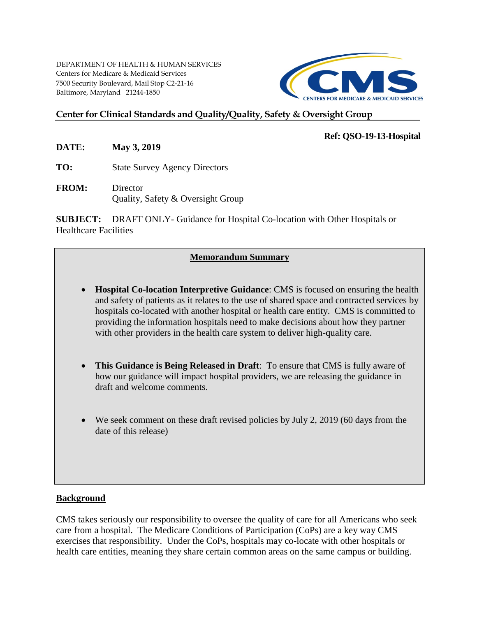DEPARTMENT OF HEALTH & HUMAN SERVICES Centers for Medicare & Medicaid Services 7500 Security Boulevard, Mail Stop C2-21-16 Baltimore, Maryland 21244-1850



## **Center for Clinical Standards and Quality/Quality, Safety & Oversight Group**

#### **Ref: QSO-19-13-Hospital**

**DATE: May 3, 2019**

**TO:** State Survey Agency Directors

**FROM:** Director Quality, Safety & Oversight Group

**SUBJECT:** DRAFT ONLY- Guidance for Hospital Co-location with Other Hospitals or Healthcare Facilities

## **Memorandum Summary**

- **Hospital Co-location Interpretive Guidance**: CMS is focused on ensuring the health and safety of patients as it relates to the use of shared space and contracted services by hospitals co-located with another hospital or health care entity. CMS is committed to providing the information hospitals need to make decisions about how they partner with other providers in the health care system to deliver high-quality care.
- **This Guidance is Being Released in Draft**: To ensure that CMS is fully aware of how our guidance will impact hospital providers, we are releasing the guidance in draft and welcome comments.
- We seek comment on these draft revised policies by July 2, 2019 (60 days from the date of this release)

#### **Background**

CMS takes seriously our responsibility to oversee the quality of care for all Americans who seek care from a hospital. The Medicare Conditions of Participation (CoPs) are a key way CMS exercises that responsibility. Under the CoPs, hospitals may co-locate with other hospitals or health care entities, meaning they share certain common areas on the same campus or building.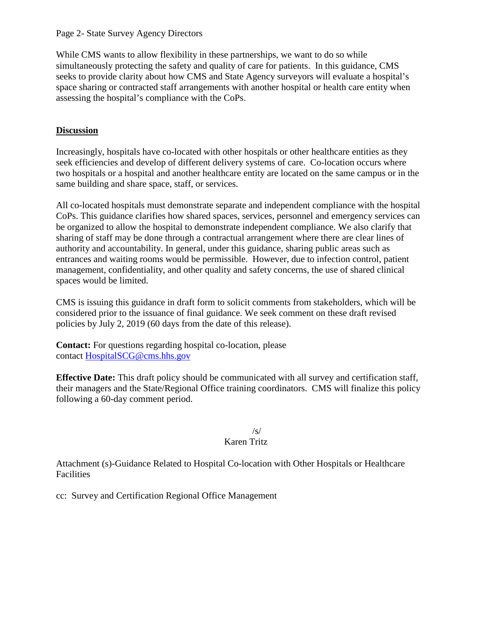Page 2- State Survey Agency Directors

While CMS wants to allow flexibility in these partnerships, we want to do so while simultaneously protecting the safety and quality of care for patients. In this guidance, CMS seeks to provide clarity about how CMS and State Agency surveyors will evaluate a hospital's space sharing or contracted staff arrangements with another hospital or health care entity when assessing the hospital's compliance with the CoPs.

# **Discussion**

Increasingly, hospitals have co-located with other hospitals or other healthcare entities as they seek efficiencies and develop of different delivery systems of care. Co-location occurs where two hospitals or a hospital and another healthcare entity are located on the same campus or in the same building and share space, staff, or services.

All co-located hospitals must demonstrate separate and independent compliance with the hospital CoPs. This guidance clarifies how shared spaces, services, personnel and emergency services can be organized to allow the hospital to demonstrate independent compliance. We also clarify that sharing of staff may be done through a contractual arrangement where there are clear lines of authority and accountability. In general, under this guidance, sharing public areas such as entrances and waiting rooms would be permissible. However, due to infection control, patient management, confidentiality, and other quality and safety concerns, the use of shared clinical spaces would be limited.

CMS is issuing this guidance in draft form to solicit comments from stakeholders, which will be considered prior to the issuance of final guidance. We seek comment on these draft revised policies by July 2, 2019 (60 days from the date of this release).

**Contact:** For questions regarding hospital co-location, please contact [HospitalSCG@cms.hhs.gov](mailto:HospitalSCG@cms.hhs.gov)

**Effective Date:** This draft policy should be communicated with all survey and certification staff, their managers and the State/Regional Office training coordinators. CMS will finalize this policy following a 60-day comment period.

## /s/

## Karen Tritz

Attachment (s)-Guidance Related to Hospital Co-location with Other Hospitals or Healthcare Facilities

cc: Survey and Certification Regional Office Management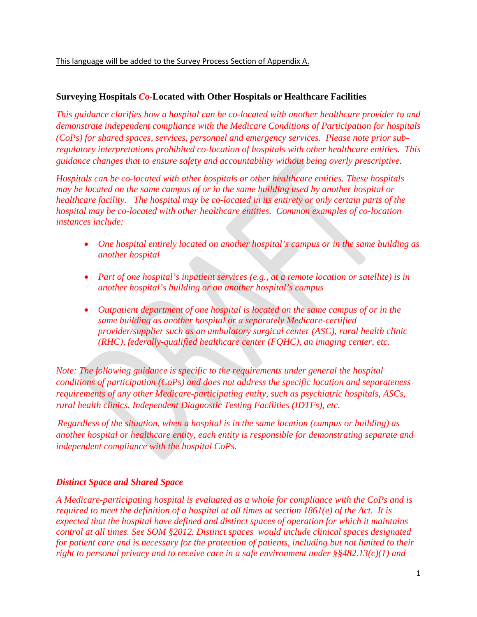## **Surveying Hospitals** *Co-***Located with Other Hospitals or Healthcare Facilities**

*This guidance clarifies how a hospital can be co-located with another healthcare provider to and demonstrate independent compliance with the Medicare Conditions of Participation for hospitals (CoPs) for shared spaces, services, personnel and emergency services. Please note prior subregulatory interpretations prohibited co-location of hospitals with other healthcare entities. This guidance changes that to ensure safety and accountability without being overly prescriptive.*

*Hospitals can be co-located with other hospitals or other healthcare entities. These hospitals may be located on the same campus of or in the same building used by another hospital or healthcare facility. The hospital may be co-located in its entirety or only certain parts of the hospital may be co-located with other healthcare entities. Common examples of co-location instances include:*

- *One hospital entirely located on another hospital's campus or in the same building as another hospital*
- Part of one hospital's inpatient services (e.g., at a remote location or satellite) is in *another hospital's building or on another hospital's campus*
- *Outpatient department of one hospital is located on the same campus of or in the same building as another hospital or a separately Medicare-certified provider/supplier such as an ambulatory surgical center (ASC), rural health clinic (RHC), federally-qualified healthcare center (FQHC), an imaging center, etc.*

*Note: The following guidance is specific to the requirements under general the hospital conditions of participation (CoPs) and does not address the specific location and separateness requirements of any other Medicare-participating entity, such as psychiatric hospitals, ASCs, rural health clinics, Independent Diagnostic Testing Facilities (IDTFs), etc.*

*Regardless of the situation, when a hospital is in the same location (campus or building) as another hospital or healthcare entity, each entity is responsible for demonstrating separate and independent compliance with the hospital CoPs.*

#### *Distinct Space and Shared Space*

*A Medicare-participating hospital is evaluated as a whole for compliance with the CoPs and is required to meet the definition of a hospital at all times at section 1861(e) of the Act. It is expected that the hospital have defined and distinct spaces of operation for which it maintains control at all times. See SOM §2012. Distinct spaces would include clinical spaces designated for patient care and is necessary for the protection of patients, including but not limited to their right to personal privacy and to receive care in a safe environment under §§482.13(c)(1) and*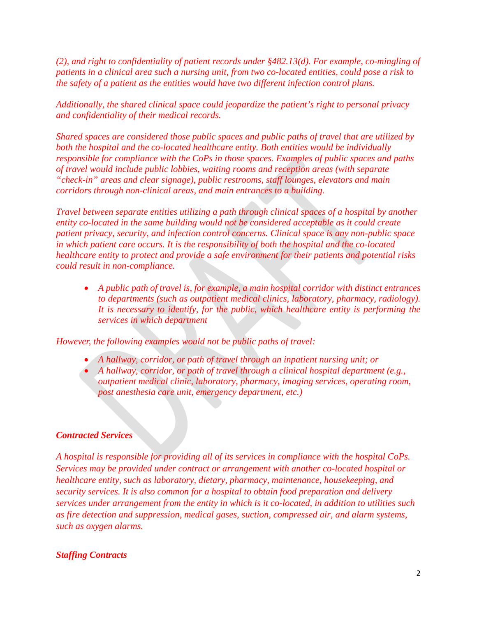*(2), and right to confidentiality of patient records under §482.13(d). For example, co-mingling of patients in a clinical area such a nursing unit, from two co-located entities, could pose a risk to the safety of a patient as the entities would have two different infection control plans.* 

*Additionally, the shared clinical space could jeopardize the patient's right to personal privacy and confidentiality of their medical records.*

*Shared spaces are considered those public spaces and public paths of travel that are utilized by both the hospital and the co-located healthcare entity. Both entities would be individually responsible for compliance with the CoPs in those spaces. Examples of public spaces and paths of travel would include public lobbies, waiting rooms and reception areas (with separate "check-in" areas and clear signage), public restrooms, staff lounges, elevators and main corridors through non-clinical areas, and main entrances to a building.* 

*Travel between separate entities utilizing a path through clinical spaces of a hospital by another entity co-located in the same building would not be considered acceptable as it could create patient privacy, security, and infection control concerns. Clinical space is any non-public space in which patient care occurs. It is the responsibility of both the hospital and the co-located healthcare entity to protect and provide a safe environment for their patients and potential risks could result in non-compliance.* 

• *A public path of travel is, for example, a main hospital corridor with distinct entrances to departments (such as outpatient medical clinics, laboratory, pharmacy, radiology). It is necessary to identify, for the public, which healthcare entity is performing the services in which department*

*However, the following examples would not be public paths of travel:*

- *A hallway, corridor, or path of travel through an inpatient nursing unit; or*
- *A hallway, corridor, or path of travel through a clinical hospital department (e.g., outpatient medical clinic, laboratory, pharmacy, imaging services, operating room, post anesthesia care unit, emergency department, etc.)*

#### *Contracted Services*

*A hospital is responsible for providing all of its services in compliance with the hospital CoPs. Services may be provided under contract or arrangement with another co-located hospital or healthcare entity, such as laboratory, dietary, pharmacy, maintenance, housekeeping, and security services. It is also common for a hospital to obtain food preparation and delivery services under arrangement from the entity in which is it co-located, in addition to utilities such as fire detection and suppression, medical gases, suction, compressed air, and alarm systems, such as oxygen alarms.*

## *Staffing Contracts*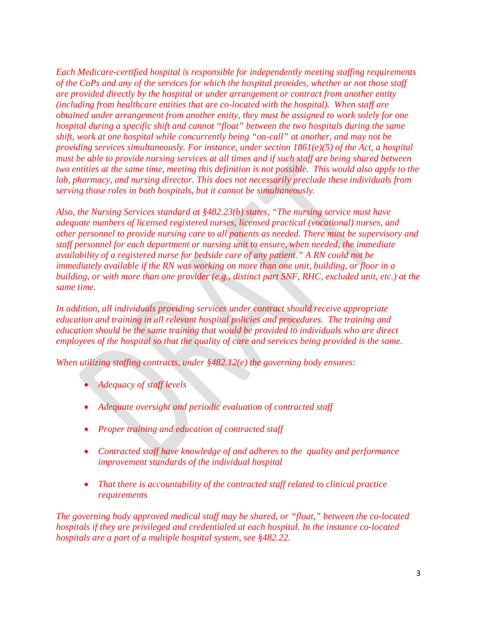*Each Medicare-certified hospital is responsible for independently meeting staffing requirements of the CoPs and any of the services for which the hospital provides, whether or not those staff are provided directly by the hospital or under arrangement or contract from another entity (including from healthcare entities that are co-located with the hospital). When staff are obtained under arrangement from another entity, they must be assigned to work solely for one hospital during a specific shift and cannot "float" between the two hospitals during the same shift, work at one hospital while concurrently being "on-call" at another, and may not be providing services simultaneously. For instance, under section 1861(e)(5) of the Act, a hospital must be able to provide nursing services at all times and if such staff are being shared between two entities at the same time, meeting this definition is not possible. This would also apply to the lab, pharmacy, and nursing director. This does not necessarily preclude these individuals from serving those roles in both hospitals, but it cannot be simultaneously.* 

*Also, the Nursing Services standard at §482.23(b) states, "The nursing service must have adequate numbers of licensed registered nurses, licensed practical (vocational) nurses, and other personnel to provide nursing care to all patients as needed. There must be supervisory and staff personnel for each department or nursing unit to ensure, when needed, the immediate availability of a registered nurse for bedside care of any patient." A RN could not be immediately available if the RN was working on more than one unit, building, or floor in a building, or with more than one provider (e.g., distinct part SNF, RHC, excluded unit, etc.) at the same time.*

*In addition, all individuals providing services under contract should receive appropriate education and training in all relevant hospital policies and procedures. The training and education should be the same training that would be provided to individuals who are direct employees of the hospital so that the quality of care and services being provided is the same.*

*When utilizing staffing contracts, under §482.12(e) the governing body ensures:*

- *Adequacy of staff levels*
- *Adequate oversight and periodic evaluation of contracted staff*
- *Proper training and education of contracted staff*
- *Contracted staff have knowledge of and adheres to the quality and performance improvement standards of the individual hospital*
- *That there is accountability of the contracted staff related to clinical practice requirements*

*The governing body approved medical staff may be shared, or "float," between the co-located hospitals if they are privileged and credentialed at each hospital. In the instance co-located hospitals are a part of a multiple hospital system, see §482.22.*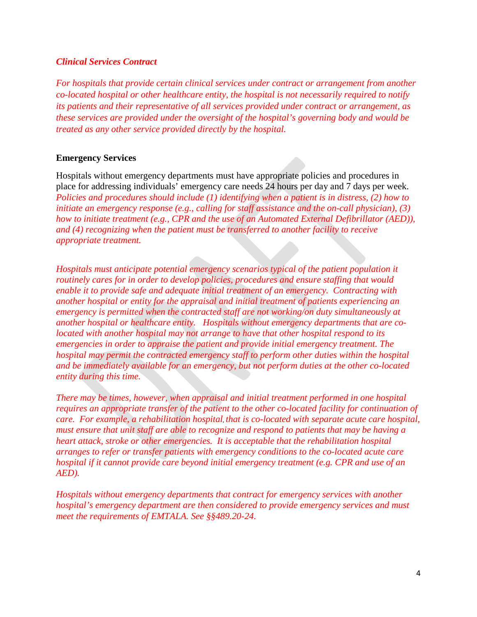#### *Clinical Services Contract*

*For hospitals that provide certain clinical services under contract or arrangement from another co-located hospital or other healthcare entity, the hospital is not necessarily required to notify its patients and their representative of all services provided under contract or arrangement, as these services are provided under the oversight of the hospital's governing body and would be treated as any other service provided directly by the hospital.* 

### **Emergency Services**

Hospitals without emergency departments must have appropriate policies and procedures in place for addressing individuals' emergency care needs 24 hours per day and 7 days per week. *Policies and procedures should include (1) identifying when a patient is in distress, (2) how to initiate an emergency response (e.g., calling for staff assistance and the on-call physician), (3) how to initiate treatment (e.g., CPR and the use of an Automated External Defibrillator (AED)), and (4) recognizing when the patient must be transferred to another facility to receive appropriate treatment.*

*Hospitals must anticipate potential emergency scenarios typical of the patient population it routinely cares for in order to develop policies, procedures and ensure staffing that would enable it to provide safe and adequate initial treatment of an emergency. Contracting with another hospital or entity for the appraisal and initial treatment of patients experiencing an emergency is permitted when the contracted staff are not working/on duty simultaneously at another hospital or healthcare entity. Hospitals without emergency departments that are colocated with another hospital may not arrange to have that other hospital respond to its emergencies in order to appraise the patient and provide initial emergency treatment. The hospital may permit the contracted emergency staff to perform other duties within the hospital and be immediately available for an emergency, but not perform duties at the other co-located entity during this time.*

*There may be times, however, when appraisal and initial treatment performed in one hospital requires an appropriate transfer of the patient to the other co-located facility for continuation of care. For example, a rehabilitation hospital*, *that is co-located with separate acute care hospital, must ensure that unit staff are able to recognize and respond to patients that may be having a heart attack, stroke or other emergencies. It is acceptable that the rehabilitation hospital arranges to refer or transfer patients with emergency conditions to the co-located acute care hospital if it cannot provide care beyond initial emergency treatment (e.g. CPR and use of an AED).*

*Hospitals without emergency departments that contract for emergency services with another hospital's emergency department are then considered to provide emergency services and must meet the requirements of EMTALA. See §§489.20-24.*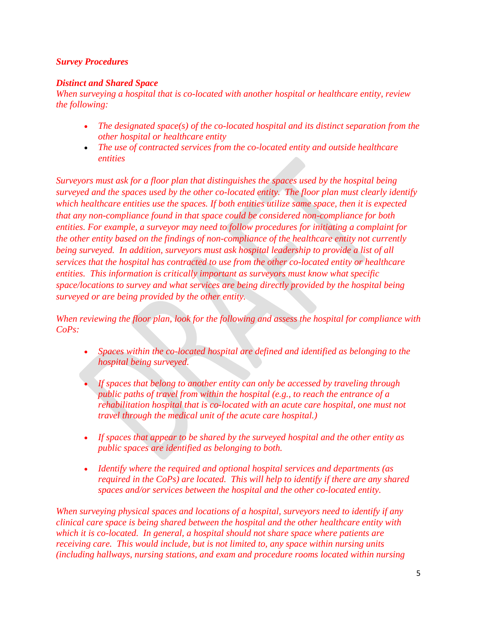## *Survey Procedures*

## *Distinct and Shared Space*

*When surveying a hospital that is co-located with another hospital or healthcare entity, review the following:*

- *The designated space(s) of the co-located hospital and its distinct separation from the other hospital or healthcare entity*
- *The use of contracted services from the co-located entity and outside healthcare entities*

*Surveyors must ask for a floor plan that distinguishes the spaces used by the hospital being surveyed and the spaces used by the other co-located entity. The floor plan must clearly identify which healthcare entities use the spaces. If both entities utilize same space, then it is expected that any non-compliance found in that space could be considered non-compliance for both entities. For example, a surveyor may need to follow procedures for initiating a complaint for the other entity based on the findings of non-compliance of the healthcare entity not currently being surveyed. In addition, surveyors must ask hospital leadership to provide a list of all services that the hospital has contracted to use from the other co-located entity or healthcare entities. This information is critically important as surveyors must know what specific space/locations to survey and what services are being directly provided by the hospital being surveyed or are being provided by the other entity.*

*When reviewing the floor plan, look for the following and assess the hospital for compliance with CoPs:*

- *Spaces within the co-located hospital are defined and identified as belonging to the hospital being surveyed.*
- If spaces that belong to another entity can only be accessed by traveling through *public paths of travel from within the hospital (e.g., to reach the entrance of a rehabilitation hospital that is co-located with an acute care hospital, one must not travel through the medical unit of the acute care hospital.)*
- *If spaces that appear to be shared by the surveyed hospital and the other entity as public spaces are identified as belonging to both.*
- *Identify where the required and optional hospital services and departments (as required in the CoPs) are located. This will help to identify if there are any shared spaces and/or services between the hospital and the other co-located entity.*

*When surveying physical spaces and locations of a hospital, surveyors need to identify if any clinical care space is being shared between the hospital and the other healthcare entity with which it is co-located. In general, a hospital should not share space where patients are receiving care. This would include, but is not limited to, any space within nursing units (including hallways, nursing stations, and exam and procedure rooms located within nursing*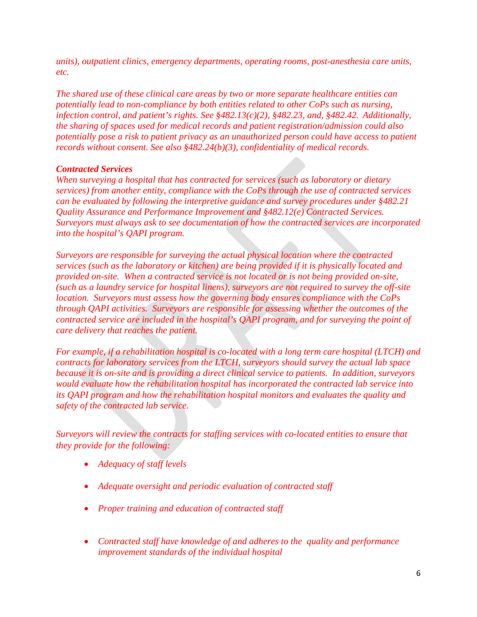*units), outpatient clinics, emergency departments, operating rooms, post-anesthesia care units, etc.* 

*The shared use of these clinical care areas by two or more separate healthcare entities can potentially lead to non-compliance by both entities related to other CoPs such as nursing, infection control, and patient's rights. See §482.13(c)(2), §482.23, and, §482.42. Additionally, the sharing of spaces used for medical records and patient registration/admission could also potentially pose a risk to patient privacy as an unauthorized person could have access to patient records without consent. See also §482.24(b)(3), confidentiality of medical records.*

### *Contracted Services*

*When surveying a hospital that has contracted for services (such as laboratory or dietary services) from another entity, compliance with the CoPs through the use of contracted services can be evaluated by following the interpretive guidance and survey procedures under §482.21 Quality Assurance and Performance Improvement and §482.12(e) Contracted Services. Surveyors must always ask to see documentation of how the contracted services are incorporated into the hospital's QAPI program.*

*Surveyors are responsible for surveying the actual physical location where the contracted services (such as the laboratory or kitchen) are being provided if it is physically located and provided on-site. When a contracted service is not located or is not being provided on-site, (such as a laundry service for hospital linens), surveyors are not required to survey the off-site location. Surveyors must assess how the governing body ensures compliance with the CoPs through QAPI activities. Surveyors are responsible for assessing whether the outcomes of the contracted service are included in the hospital's QAPI program, and for surveying the point of care delivery that reaches the patient.*

*For example, if a rehabilitation hospital is co-located with a long term care hospital (LTCH) and contracts for laboratory services from the LTCH, surveyors should survey the actual lab space because it is on-site and is providing a direct clinical service to patients. In addition, surveyors would evaluate how the rehabilitation hospital has incorporated the contracted lab service into its QAPI program and how the rehabilitation hospital monitors and evaluates the quality and safety of the contracted lab service.*

*Surveyors will review the contracts for staffing services with co-located entities to ensure that they provide for the following:*

- *Adequacy of staff levels*
- *Adequate oversight and periodic evaluation of contracted staff*
- *Proper training and education of contracted staff*
- *Contracted staff have knowledge of and adheres to the quality and performance improvement standards of the individual hospital*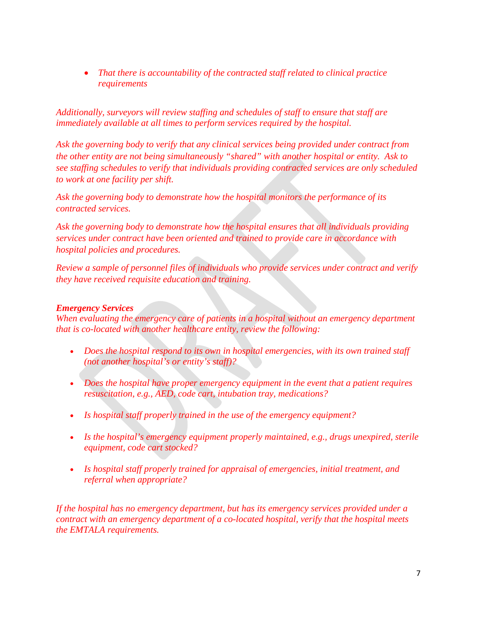• *That there is accountability of the contracted staff related to clinical practice requirements*

*Additionally, surveyors will review staffing and schedules of staff to ensure that staff are immediately available at all times to perform services required by the hospital.* 

*Ask the governing body to verify that any clinical services being provided under contract from the other entity are not being simultaneously "shared" with another hospital or entity. Ask to see staffing schedules to verify that individuals providing contracted services are only scheduled to work at one facility per shift.*

*Ask the governing body to demonstrate how the hospital monitors the performance of its contracted services.*

*Ask the governing body to demonstrate how the hospital ensures that all individuals providing services under contract have been oriented and trained to provide care in accordance with hospital policies and procedures.*

*Review a sample of personnel files of individuals who provide services under contract and verify they have received requisite education and training.*

### *Emergency Services*

*When evaluating the emergency care of patients in a hospital without an emergency department that is co-located with another healthcare entity, review the following:*

- *Does the hospital respond to its own in hospital emergencies, with its own trained staff (not another hospital's or entity's staff)?*
- *Does the hospital have proper emergency equipment in the event that a patient requires resuscitation, e.g., AED, code cart, intubation tray, medications?*
- *Is hospital staff properly trained in the use of the emergency equipment?*
- *Is the hospital's emergency equipment properly maintained, e.g., drugs unexpired, sterile equipment, code cart stocked?*
- *Is hospital staff properly trained for appraisal of emergencies, initial treatment, and referral when appropriate?*

*If the hospital has no emergency department, but has its emergency services provided under a contract with an emergency department of a co-located hospital, verify that the hospital meets the EMTALA requirements.*